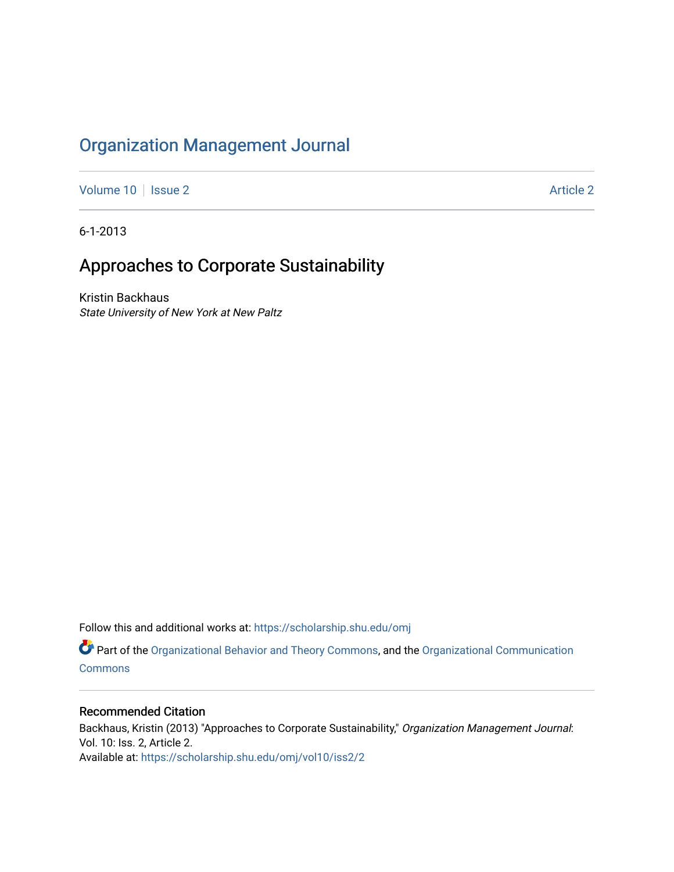## [Organization Management Journal](https://scholarship.shu.edu/omj)

[Volume 10](https://scholarship.shu.edu/omj/vol10) | [Issue 2](https://scholarship.shu.edu/omj/vol10/iss2) Article 2

6-1-2013

# Approaches to Corporate Sustainability

Kristin Backhaus State University of New York at New Paltz

Follow this and additional works at: [https://scholarship.shu.edu/omj](https://scholarship.shu.edu/omj?utm_source=scholarship.shu.edu%2Fomj%2Fvol10%2Fiss2%2F2&utm_medium=PDF&utm_campaign=PDFCoverPages) 

Part of the [Organizational Behavior and Theory Commons,](http://network.bepress.com/hgg/discipline/639?utm_source=scholarship.shu.edu%2Fomj%2Fvol10%2Fiss2%2F2&utm_medium=PDF&utm_campaign=PDFCoverPages) and the [Organizational Communication](http://network.bepress.com/hgg/discipline/335?utm_source=scholarship.shu.edu%2Fomj%2Fvol10%2Fiss2%2F2&utm_medium=PDF&utm_campaign=PDFCoverPages) **[Commons](http://network.bepress.com/hgg/discipline/335?utm_source=scholarship.shu.edu%2Fomj%2Fvol10%2Fiss2%2F2&utm_medium=PDF&utm_campaign=PDFCoverPages)** 

### Recommended Citation

Backhaus, Kristin (2013) "Approaches to Corporate Sustainability," Organization Management Journal: Vol. 10: Iss. 2, Article 2. Available at: [https://scholarship.shu.edu/omj/vol10/iss2/2](https://scholarship.shu.edu/omj/vol10/iss2/2?utm_source=scholarship.shu.edu%2Fomj%2Fvol10%2Fiss2%2F2&utm_medium=PDF&utm_campaign=PDFCoverPages)